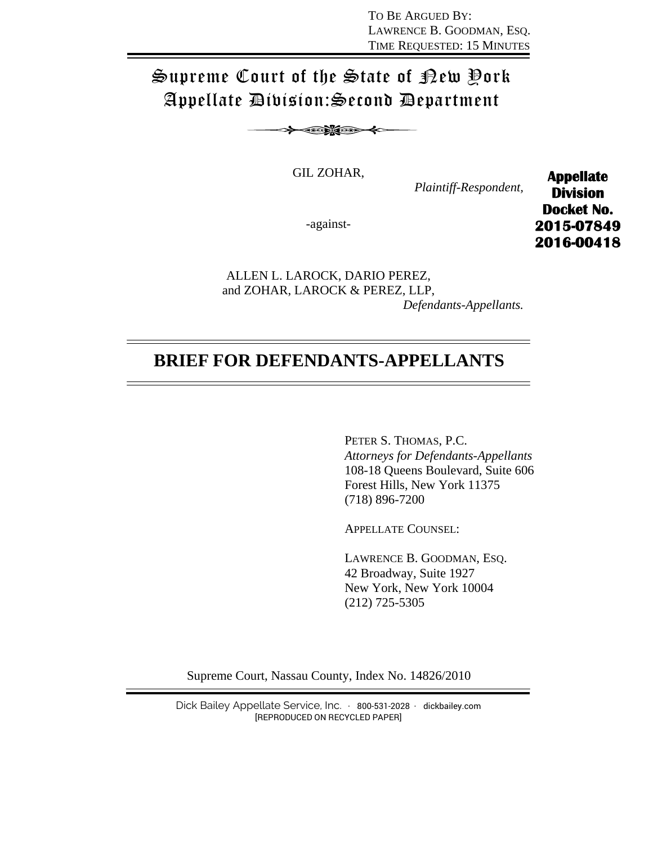TO BE ARGUED BY: LAWRENCE B. GOODMAN, ESQ. TIME REQUESTED: 15 MINUTES

# Supreme Court of the State of New York Appellate Division:Second Department

≻ා≪≫

GIL ZOHAR,

*Plaintiff-Respondent,* 

-against-

**Appellate Division Docket No. 2015-07849 2016-00418** 

ALLEN L. LAROCK, DARIO PEREZ, and ZOHAR, LAROCK & PEREZ, LLP,

*Defendants-Appellants.* 

## **BRIEF FOR DEFENDANTS-APPELLANTS**

PETER S. THOMAS, P.C. *Attorneys for Defendants-Appellants*  108-18 Queens Boulevard, Suite 606 Forest Hills, New York 11375 (718) 896-7200

APPELLATE COUNSEL:

LAWRENCE B. GOODMAN, ESQ. 42 Broadway, Suite 1927 New York, New York 10004 (212) 725-5305

Supreme Court, Nassau County, Index No. 14826/2010

Dick Bailey Appellate Service, Inc. · 800-531-2028 · dickbailey.com [REPRODUCED ON RECYCLED PAPER]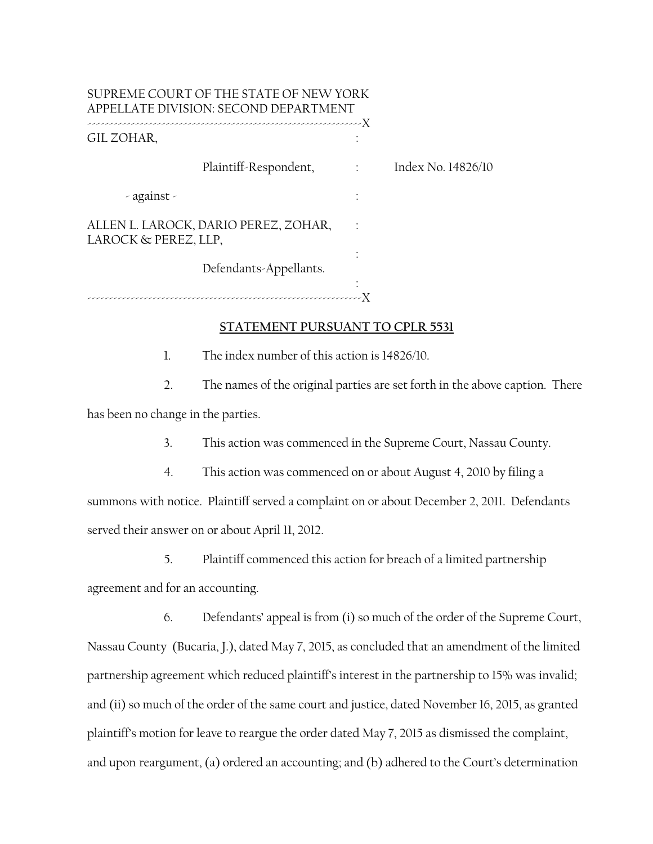| SUPREME COURT OF THE STATE OF NEW YORK<br>APPELLATE DIVISION: SECOND DEPARTMENT |                          |                    |
|---------------------------------------------------------------------------------|--------------------------|--------------------|
| GIL ZOHAR,                                                                      |                          |                    |
| Plaintiff-Respondent,                                                           | $\sim 1000$ km s $^{-1}$ | Index No. 14826/10 |
| $-$ against $-$                                                                 |                          |                    |
| ALLEN L. LAROCK, DARIO PEREZ, ZOHAR,<br>LAROCK & PEREZ, LLP,                    |                          |                    |
| Defendants-Appellants.                                                          |                          |                    |
|                                                                                 |                          |                    |

#### **STATEMENT PURSUANT TO CPLR 5531**

1. The index number of this action is 14826/10.

2. The names of the original parties are set forth in the above caption. There has been no change in the parties.

3. This action was commenced in the Supreme Court, Nassau County.

4. This action was commenced on or about August 4, 2010 by filing a summons with notice. Plaintiff served a complaint on or about December 2, 2011. Defendants served their answer on or about April 11, 2012.

5. Plaintiff commenced this action for breach of a limited partnership agreement and for an accounting.

6. Defendants' appeal is from (i) so much of the order of the Supreme Court, Nassau County (Bucaria, J.), dated May 7, 2015, as concluded that an amendment of the limited partnership agreement which reduced plaintiff's interest in the partnership to 15% was invalid; and (ii) so much of the order of the same court and justice, dated November 16, 2015, as granted plaintiff's motion for leave to reargue the order dated May 7, 2015 as dismissed the complaint, and upon reargument, (a) ordered an accounting; and (b) adhered to the Court's determination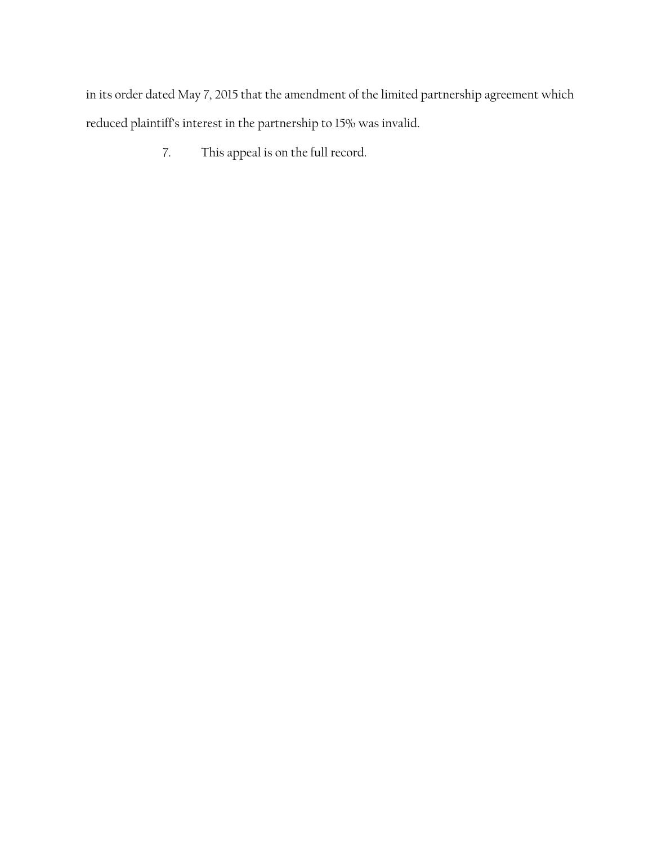in its order dated May 7, 2015 that the amendment of the limited partnership agreement which reduced plaintiff's interest in the partnership to 15% was invalid.

7. This appeal is on the full record.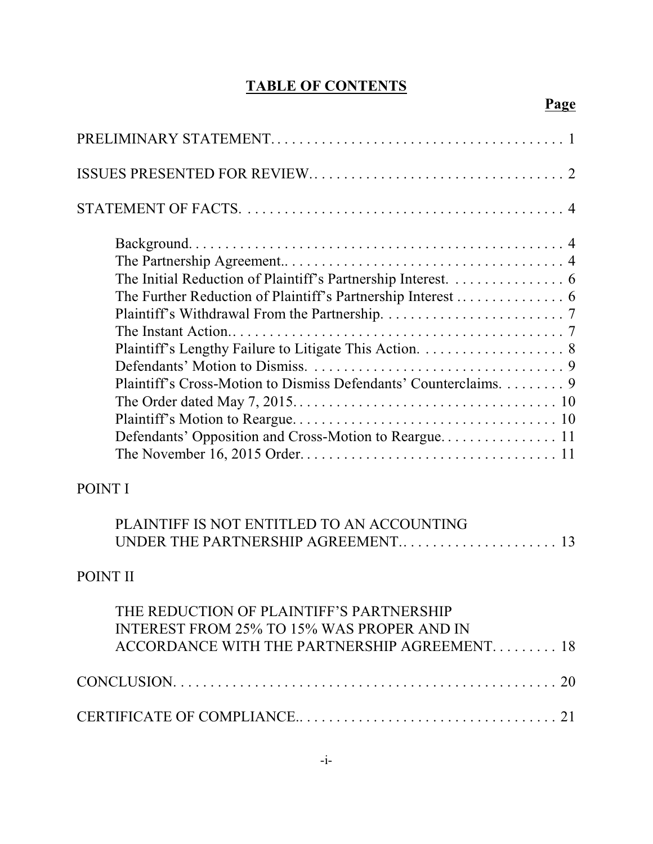## **TABLE OF CONTENTS**

**Page**

| The Initial Reduction of Plaintiff's Partnership Interest. 6<br>Plaintiff's Cross-Motion to Dismiss Defendants' Counterclaims. 9 |
|----------------------------------------------------------------------------------------------------------------------------------|
| POINT I                                                                                                                          |
| PLAINTIFF IS NOT ENTITLED TO AN ACCOUNTING                                                                                       |

## POINT II

| THE REDUCTION OF PLAINTIFF'S PARTNERSHIP<br><b>INTEREST FROM 25% TO 15% WAS PROPER AND IN</b><br>ACCORDANCE WITH THE PARTNERSHIP AGREEMENT 18 |
|-----------------------------------------------------------------------------------------------------------------------------------------------|
|                                                                                                                                               |
|                                                                                                                                               |

UNDER THE PARTNERSHIP AGREEMENT.. . . . . . . . . . . . . . . . . . . . . 13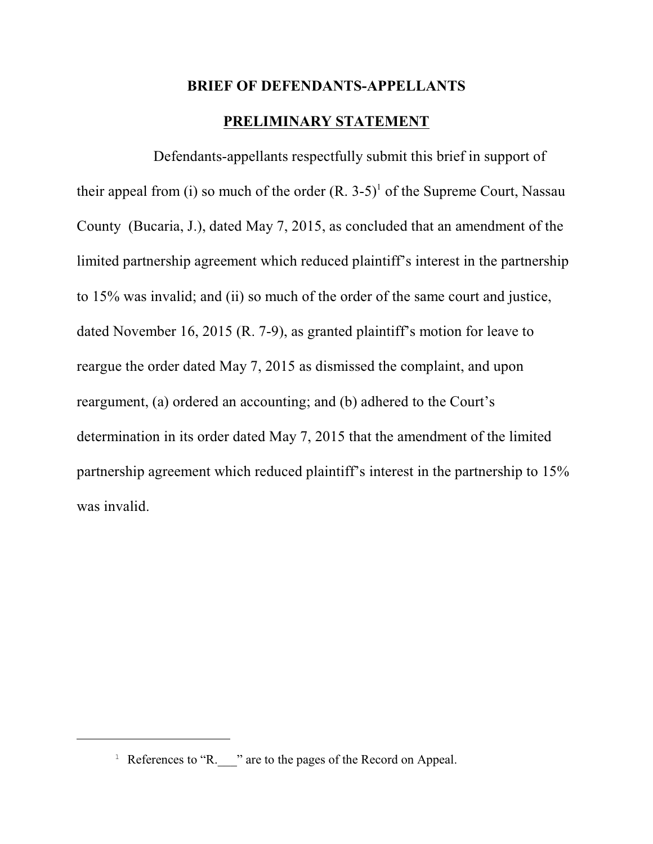#### **BRIEF OF DEFENDANTS-APPELLANTS**

## **PRELIMINARY STATEMENT**

Defendants-appellants respectfully submit this brief in support of their appeal from (i) so much of the order  $(R, 3-5)^1$  of the Supreme Court, Nassau County (Bucaria, J.), dated May 7, 2015, as concluded that an amendment of the limited partnership agreement which reduced plaintiff's interest in the partnership to 15% was invalid; and (ii) so much of the order of the same court and justice, dated November 16, 2015 (R. 7-9), as granted plaintiff's motion for leave to reargue the order dated May 7, 2015 as dismissed the complaint, and upon reargument, (a) ordered an accounting; and (b) adhered to the Court's determination in its order dated May 7, 2015 that the amendment of the limited partnership agreement which reduced plaintiff's interest in the partnership to 15% was invalid.

<sup>&</sup>lt;sup>1</sup> References to "R.  $\blacksquare$ " are to the pages of the Record on Appeal.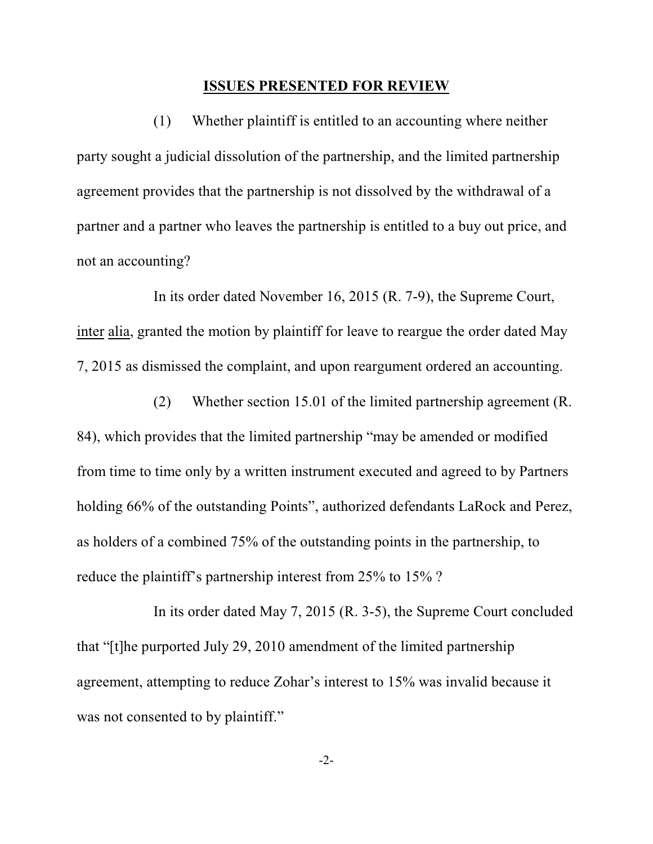#### **ISSUES PRESENTED FOR REVIEW**

(1) Whether plaintiff is entitled to an accounting where neither party sought a judicial dissolution of the partnership, and the limited partnership agreement provides that the partnership is not dissolved by the withdrawal of a partner and a partner who leaves the partnership is entitled to a buy out price, and not an accounting?

In its order dated November 16, 2015 (R. 7-9), the Supreme Court, inter alia, granted the motion by plaintiff for leave to reargue the order dated May 7, 2015 as dismissed the complaint, and upon reargument ordered an accounting.

(2) Whether section 15.01 of the limited partnership agreement (R. 84), which provides that the limited partnership "may be amended or modified from time to time only by a written instrument executed and agreed to by Partners holding 66% of the outstanding Points", authorized defendants LaRock and Perez, as holders of a combined 75% of the outstanding points in the partnership, to reduce the plaintiff's partnership interest from 25% to 15% ?

In its order dated May 7, 2015 (R. 3-5), the Supreme Court concluded that "[t]he purported July 29, 2010 amendment of the limited partnership agreement, attempting to reduce Zohar's interest to 15% was invalid because it was not consented to by plaintiff."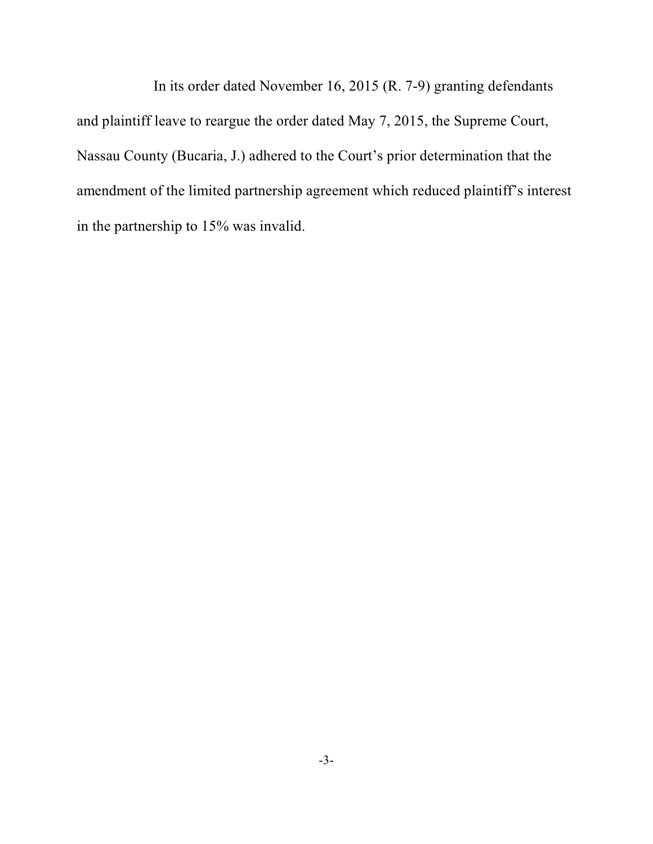In its order dated November 16, 2015 (R. 7-9) granting defendants and plaintiff leave to reargue the order dated May 7, 2015, the Supreme Court, Nassau County (Bucaria, J.) adhered to the Court's prior determination that the amendment of the limited partnership agreement which reduced plaintiff's interest in the partnership to 15% was invalid.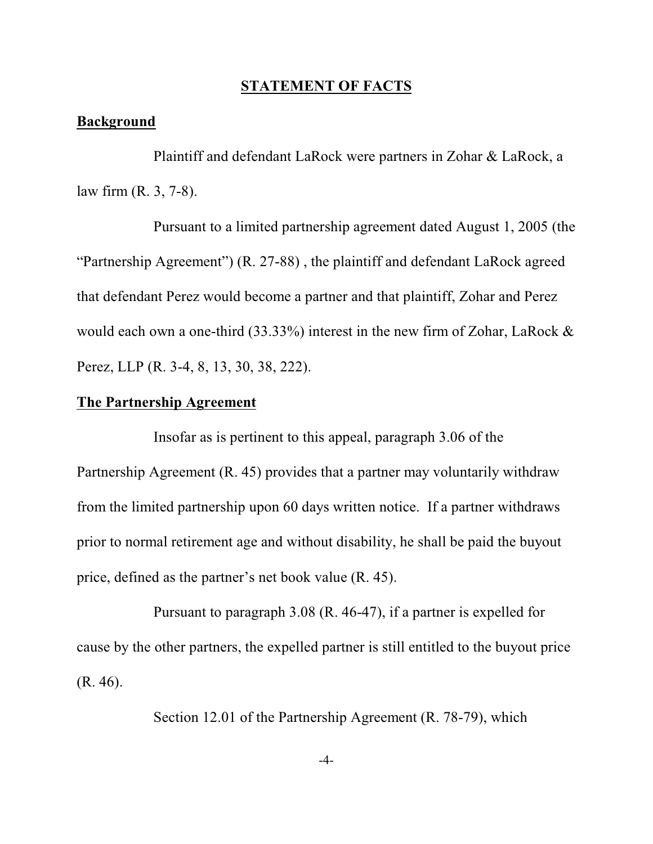#### **STATEMENT OF FACTS**

#### **Background**

Plaintiff and defendant LaRock were partners in Zohar & LaRock, a law firm (R. 3, 7-8).

Pursuant to a limited partnership agreement dated August 1, 2005 (the "Partnership Agreement") (R. 27-88) , the plaintiff and defendant LaRock agreed that defendant Perez would become a partner and that plaintiff, Zohar and Perez would each own a one-third (33.33%) interest in the new firm of Zohar, LaRock & Perez, LLP (R. 3-4, 8, 13, 30, 38, 222).

#### **The Partnership Agreement**

Insofar as is pertinent to this appeal, paragraph 3.06 of the Partnership Agreement (R. 45) provides that a partner may voluntarily withdraw from the limited partnership upon 60 days written notice. If a partner withdraws prior to normal retirement age and without disability, he shall be paid the buyout price, defined as the partner's net book value (R. 45).

Pursuant to paragraph 3.08 (R. 46-47), if a partner is expelled for cause by the other partners, the expelled partner is still entitled to the buyout price (R. 46).

Section 12.01 of the Partnership Agreement (R. 78-79), which

-4-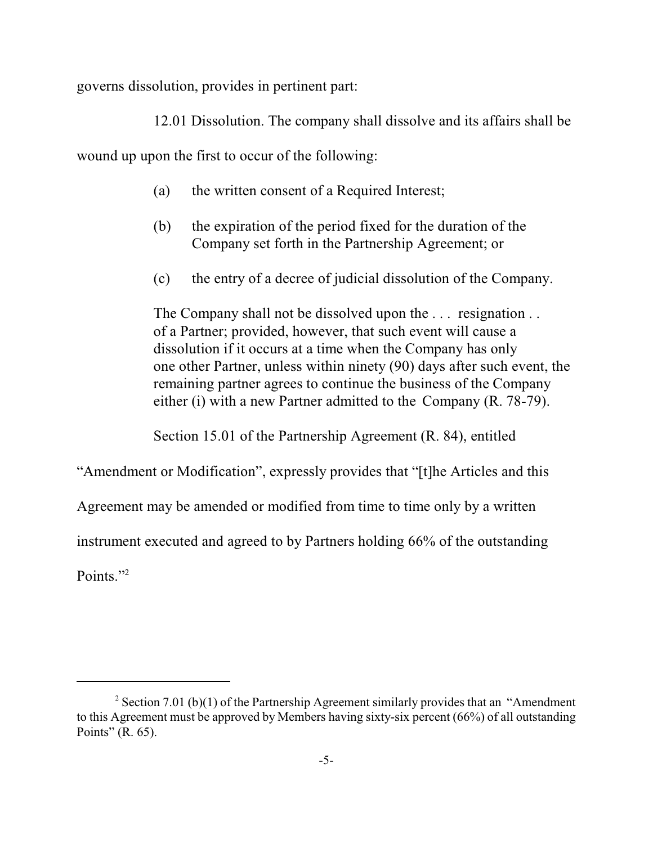governs dissolution, provides in pertinent part:

12.01 Dissolution. The company shall dissolve and its affairs shall be

wound up upon the first to occur of the following:

- (a) the written consent of a Required Interest;
- (b) the expiration of the period fixed for the duration of the Company set forth in the Partnership Agreement; or
- (c) the entry of a decree of judicial dissolution of the Company.

The Company shall not be dissolved upon the . . . resignation . . of a Partner; provided, however, that such event will cause a dissolution if it occurs at a time when the Company has only one other Partner, unless within ninety (90) days after such event, the remaining partner agrees to continue the business of the Company either (i) with a new Partner admitted to the Company (R. 78-79).

Section 15.01 of the Partnership Agreement (R. 84), entitled

"Amendment or Modification", expressly provides that "[t]he Articles and this

Agreement may be amended or modified from time to time only by a written

instrument executed and agreed to by Partners holding 66% of the outstanding

Points."<sup>2</sup>

<sup>&</sup>lt;sup>2</sup> Section 7.01 (b)(1) of the Partnership Agreement similarly provides that an "Amendment" to this Agreement must be approved by Members having sixty-six percent (66%) of all outstanding Points" (R. 65).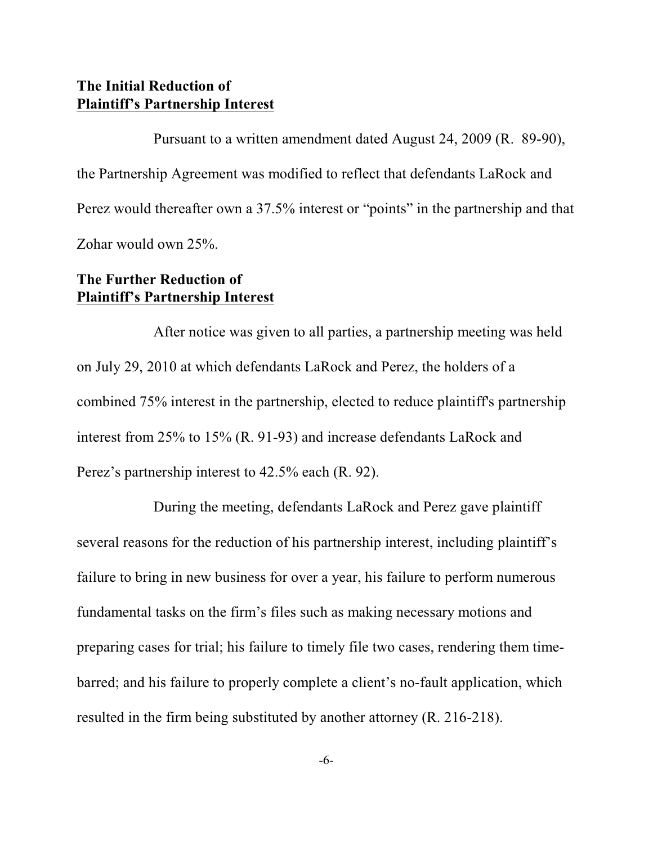## **The Initial Reduction of Plaintiff's Partnership Interest**

Pursuant to a written amendment dated August 24, 2009 (R. 89-90), the Partnership Agreement was modified to reflect that defendants LaRock and Perez would thereafter own a 37.5% interest or "points" in the partnership and that Zohar would own 25%.

## **The Further Reduction of Plaintiff's Partnership Interest**

After notice was given to all parties, a partnership meeting was held on July 29, 2010 at which defendants LaRock and Perez, the holders of a combined 75% interest in the partnership, elected to reduce plaintiff's partnership interest from 25% to 15% (R. 91-93) and increase defendants LaRock and Perez's partnership interest to 42.5% each (R. 92).

During the meeting, defendants LaRock and Perez gave plaintiff several reasons for the reduction of his partnership interest, including plaintiff's failure to bring in new business for over a year, his failure to perform numerous fundamental tasks on the firm's files such as making necessary motions and preparing cases for trial; his failure to timely file two cases, rendering them timebarred; and his failure to properly complete a client's no-fault application, which resulted in the firm being substituted by another attorney (R. 216-218).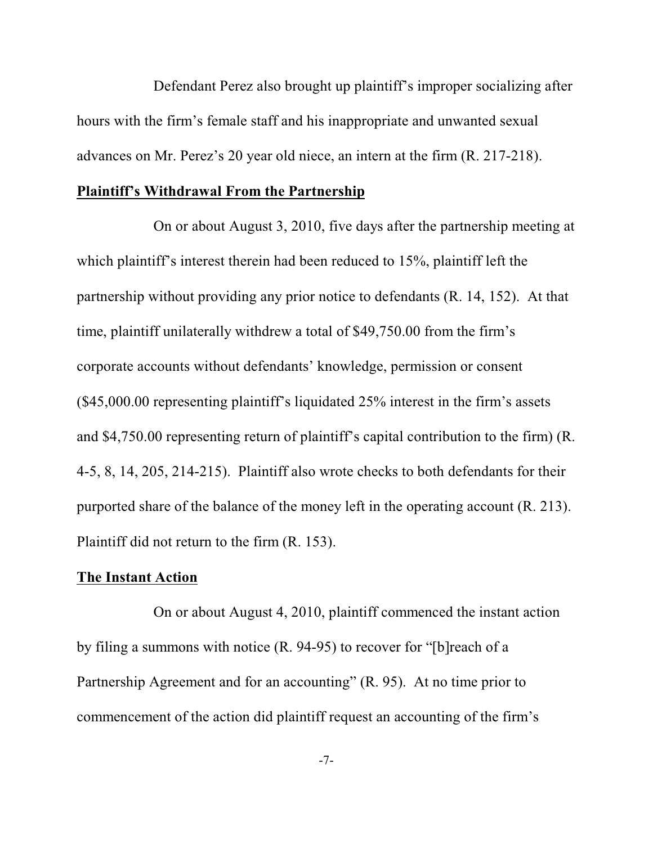Defendant Perez also brought up plaintiff's improper socializing after hours with the firm's female staff and his inappropriate and unwanted sexual advances on Mr. Perez's 20 year old niece, an intern at the firm (R. 217-218).

#### **Plaintiff's Withdrawal From the Partnership**

On or about August 3, 2010, five days after the partnership meeting at which plaintiff's interest therein had been reduced to 15%, plaintiff left the partnership without providing any prior notice to defendants (R. 14, 152). At that time, plaintiff unilaterally withdrew a total of \$49,750.00 from the firm's corporate accounts without defendants' knowledge, permission or consent (\$45,000.00 representing plaintiff's liquidated 25% interest in the firm's assets and \$4,750.00 representing return of plaintiff's capital contribution to the firm) (R. 4-5, 8, 14, 205, 214-215). Plaintiff also wrote checks to both defendants for their purported share of the balance of the money left in the operating account (R. 213). Plaintiff did not return to the firm (R. 153).

#### **The Instant Action**

On or about August 4, 2010, plaintiff commenced the instant action by filing a summons with notice (R. 94-95) to recover for "[b]reach of a Partnership Agreement and for an accounting" (R. 95). At no time prior to commencement of the action did plaintiff request an accounting of the firm's

-7-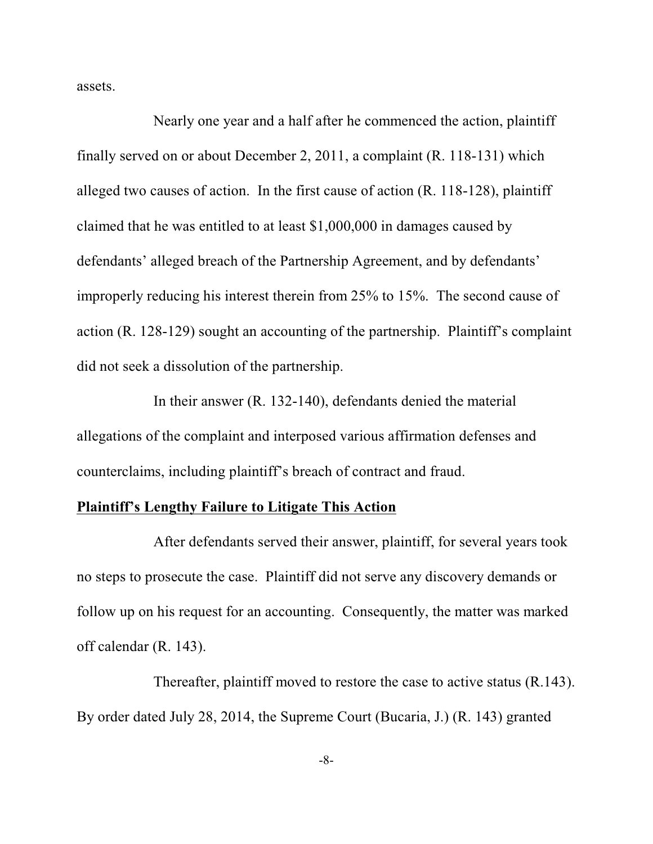assets.

Nearly one year and a half after he commenced the action, plaintiff finally served on or about December 2, 2011, a complaint (R. 118-131) which alleged two causes of action. In the first cause of action (R. 118-128), plaintiff claimed that he was entitled to at least \$1,000,000 in damages caused by defendants' alleged breach of the Partnership Agreement, and by defendants' improperly reducing his interest therein from 25% to 15%. The second cause of action (R. 128-129) sought an accounting of the partnership. Plaintiff's complaint did not seek a dissolution of the partnership.

In their answer (R. 132-140), defendants denied the material allegations of the complaint and interposed various affirmation defenses and counterclaims, including plaintiff's breach of contract and fraud.

## **Plaintiff's Lengthy Failure to Litigate This Action**

After defendants served their answer, plaintiff, for several years took no steps to prosecute the case. Plaintiff did not serve any discovery demands or follow up on his request for an accounting. Consequently, the matter was marked off calendar (R. 143).

Thereafter, plaintiff moved to restore the case to active status (R.143). By order dated July 28, 2014, the Supreme Court (Bucaria, J.) (R. 143) granted

-8-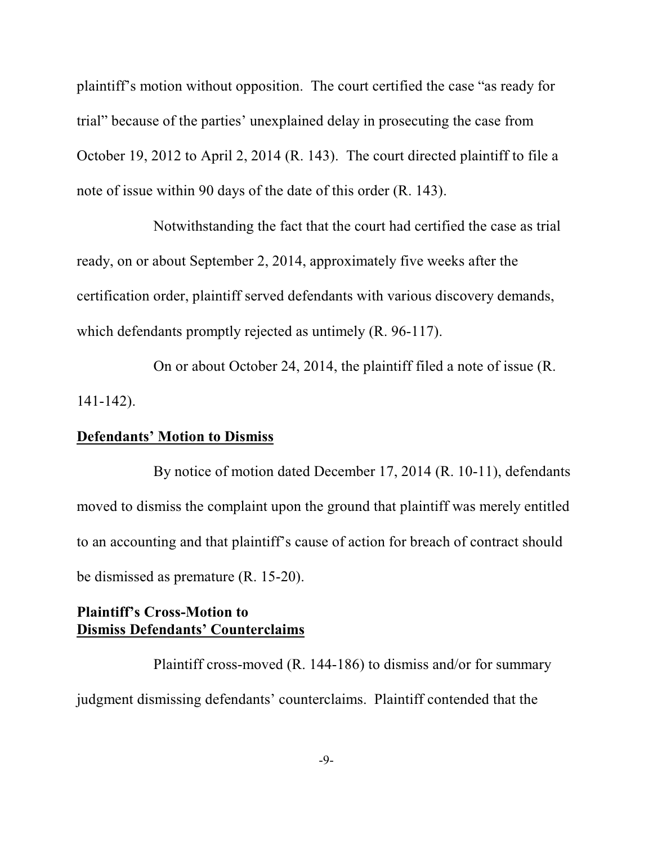plaintiff's motion without opposition. The court certified the case "as ready for trial" because of the parties' unexplained delay in prosecuting the case from October 19, 2012 to April 2, 2014 (R. 143). The court directed plaintiff to file a note of issue within 90 days of the date of this order (R. 143).

Notwithstanding the fact that the court had certified the case as trial ready, on or about September 2, 2014, approximately five weeks after the certification order, plaintiff served defendants with various discovery demands, which defendants promptly rejected as untimely (R, 96-117).

On or about October 24, 2014, the plaintiff filed a note of issue (R. 141-142).

## **Defendants' Motion to Dismiss**

By notice of motion dated December 17, 2014 (R. 10-11), defendants moved to dismiss the complaint upon the ground that plaintiff was merely entitled to an accounting and that plaintiff's cause of action for breach of contract should be dismissed as premature (R. 15-20).

## **Plaintiff's Cross-Motion to Dismiss Defendants' Counterclaims**

Plaintiff cross-moved (R. 144-186) to dismiss and/or for summary judgment dismissing defendants' counterclaims. Plaintiff contended that the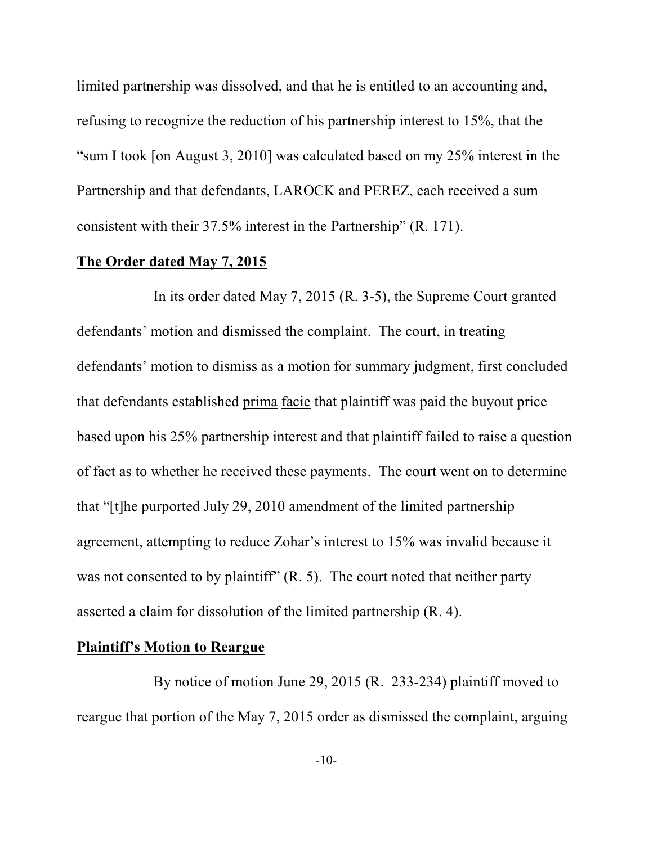limited partnership was dissolved, and that he is entitled to an accounting and, refusing to recognize the reduction of his partnership interest to 15%, that the "sum I took [on August 3, 2010] was calculated based on my 25% interest in the Partnership and that defendants, LAROCK and PEREZ, each received a sum consistent with their 37.5% interest in the Partnership" (R. 171).

#### **The Order dated May 7, 2015**

In its order dated May 7, 2015 (R. 3-5), the Supreme Court granted defendants' motion and dismissed the complaint. The court, in treating defendants' motion to dismiss as a motion for summary judgment, first concluded that defendants established prima facie that plaintiff was paid the buyout price based upon his 25% partnership interest and that plaintiff failed to raise a question of fact as to whether he received these payments. The court went on to determine that "[t]he purported July 29, 2010 amendment of the limited partnership agreement, attempting to reduce Zohar's interest to 15% was invalid because it was not consented to by plaintiff"  $(R, 5)$ . The court noted that neither party asserted a claim for dissolution of the limited partnership (R. 4).

#### **Plaintiff's Motion to Reargue**

By notice of motion June 29, 2015 (R. 233-234) plaintiff moved to reargue that portion of the May 7, 2015 order as dismissed the complaint, arguing

-10-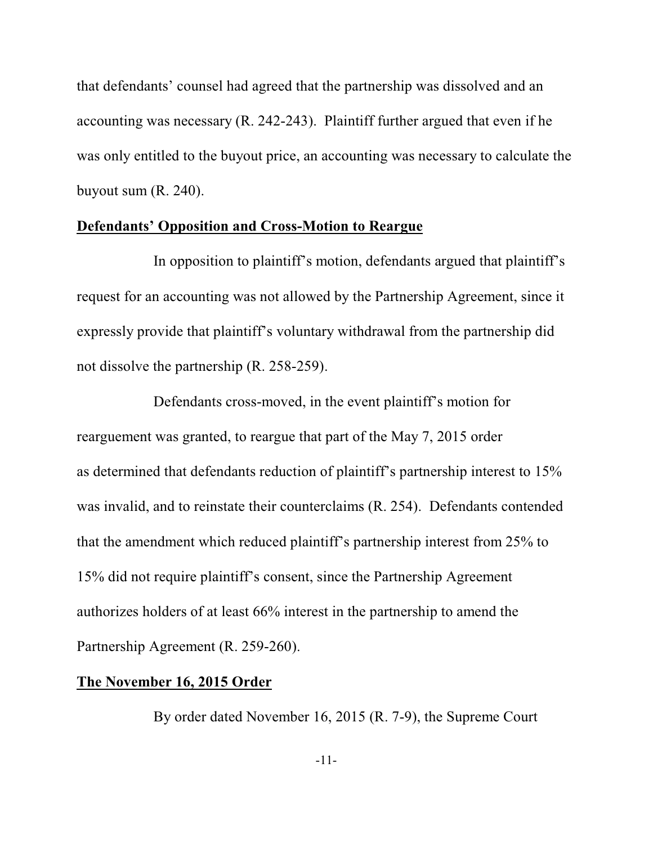that defendants' counsel had agreed that the partnership was dissolved and an accounting was necessary (R. 242-243). Plaintiff further argued that even if he was only entitled to the buyout price, an accounting was necessary to calculate the buyout sum (R. 240).

## **Defendants' Opposition and Cross-Motion to Reargue**

In opposition to plaintiff's motion, defendants argued that plaintiff's request for an accounting was not allowed by the Partnership Agreement, since it expressly provide that plaintiff's voluntary withdrawal from the partnership did not dissolve the partnership (R. 258-259).

Defendants cross-moved, in the event plaintiff's motion for rearguement was granted, to reargue that part of the May 7, 2015 order as determined that defendants reduction of plaintiff's partnership interest to 15% was invalid, and to reinstate their counterclaims (R. 254). Defendants contended that the amendment which reduced plaintiff's partnership interest from 25% to 15% did not require plaintiff's consent, since the Partnership Agreement authorizes holders of at least 66% interest in the partnership to amend the Partnership Agreement (R. 259-260).

## **The November 16, 2015 Order**

By order dated November 16, 2015 (R. 7-9), the Supreme Court

-11-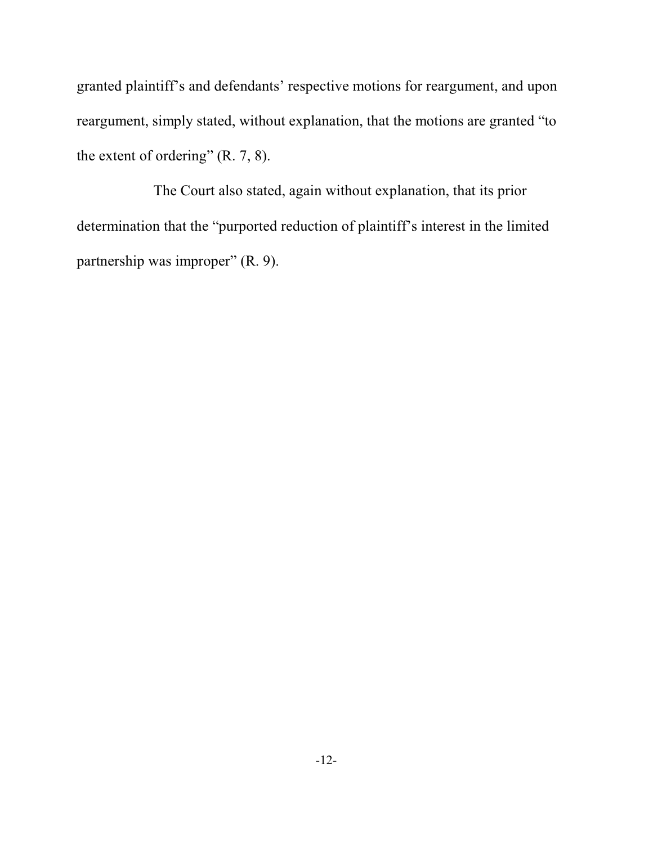granted plaintiff's and defendants' respective motions for reargument, and upon reargument, simply stated, without explanation, that the motions are granted "to the extent of ordering" (R. 7, 8).

The Court also stated, again without explanation, that its prior determination that the "purported reduction of plaintiff's interest in the limited partnership was improper" (R. 9).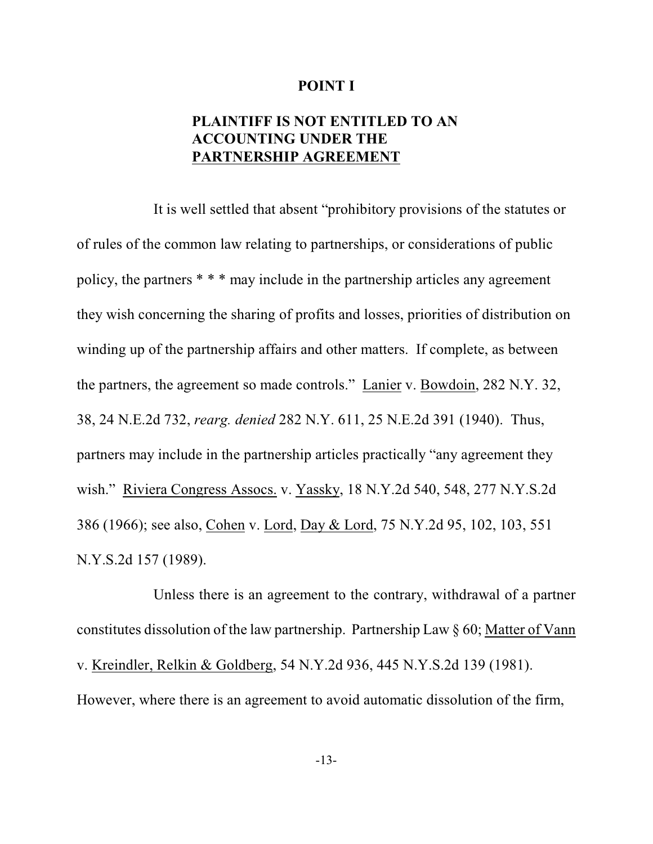#### **POINT I**

## **PLAINTIFF IS NOT ENTITLED TO AN ACCOUNTING UNDER THE PARTNERSHIP AGREEMENT**

It is well settled that absent "prohibitory provisions of the statutes or of rules of the common law relating to partnerships, or considerations of public policy, the partners \* \* \* may include in the partnership articles any agreement they wish concerning the sharing of profits and losses, priorities of distribution on winding up of the partnership affairs and other matters. If complete, as between the partners, the agreement so made controls." Lanier v. Bowdoin, 282 N.Y. 32, 38, 24 N.E.2d 732, *rearg. denied* 282 N.Y. 611, 25 N.E.2d 391 (1940). Thus, partners may include in the partnership articles practically "any agreement they wish." Riviera Congress Assocs. v. Yassky, 18 N.Y.2d 540, 548, 277 N.Y.S.2d 386 (1966); see also, Cohen v. Lord, Day & Lord, 75 N.Y.2d 95, 102, 103, 551 N.Y.S.2d 157 (1989).

Unless there is an agreement to the contrary, withdrawal of a partner constitutes dissolution of the law partnership. Partnership Law § 60; Matter of Vann v. Kreindler, Relkin & Goldberg, 54 N.Y.2d 936, 445 N.Y.S.2d 139 (1981). However, where there is an agreement to avoid automatic dissolution of the firm,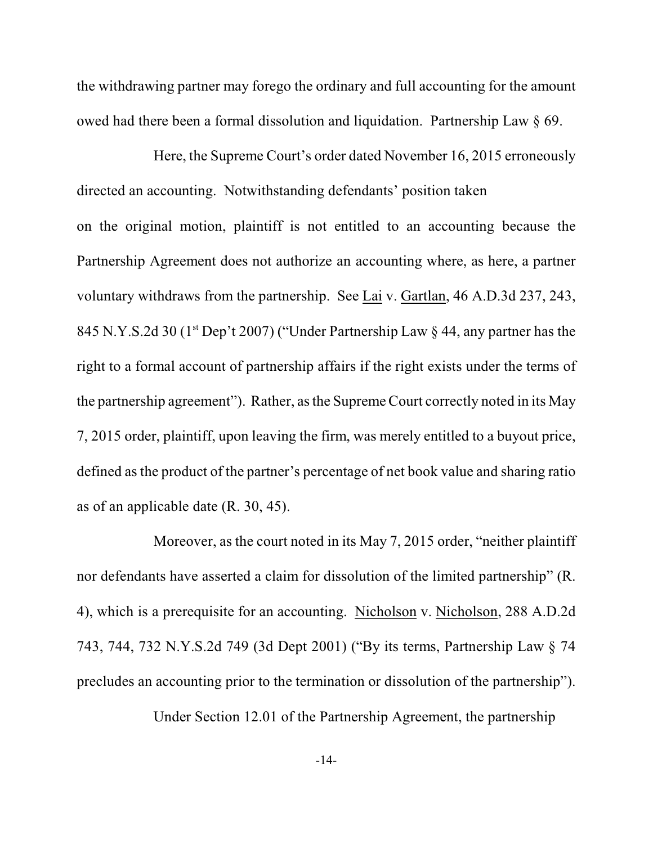the withdrawing partner may forego the ordinary and full accounting for the amount owed had there been a formal dissolution and liquidation. Partnership Law § 69.

Here, the Supreme Court's order dated November 16, 2015 erroneously directed an accounting. Notwithstanding defendants' position taken on the original motion, plaintiff is not entitled to an accounting because the Partnership Agreement does not authorize an accounting where, as here, a partner voluntary withdraws from the partnership. See Lai v. Gartlan, 46 A.D.3d 237, 243, 845 N.Y.S.2d 30 ( $1<sup>st</sup>$  Dep't 2007) ("Under Partnership Law § 44, any partner has the right to a formal account of partnership affairs if the right exists under the terms of the partnership agreement"). Rather, as the Supreme Court correctly noted in its May 7, 2015 order, plaintiff, upon leaving the firm, was merely entitled to a buyout price, defined as the product of the partner's percentage of net book value and sharing ratio as of an applicable date (R. 30, 45).

Moreover, as the court noted in its May 7, 2015 order, "neither plaintiff nor defendants have asserted a claim for dissolution of the limited partnership" (R. 4), which is a prerequisite for an accounting. Nicholson v. Nicholson, 288 A.D.2d 743, 744, 732 N.Y.S.2d 749 (3d Dept 2001) ("By its terms, Partnership Law § 74 precludes an accounting prior to the termination or dissolution of the partnership").

Under Section 12.01 of the Partnership Agreement, the partnership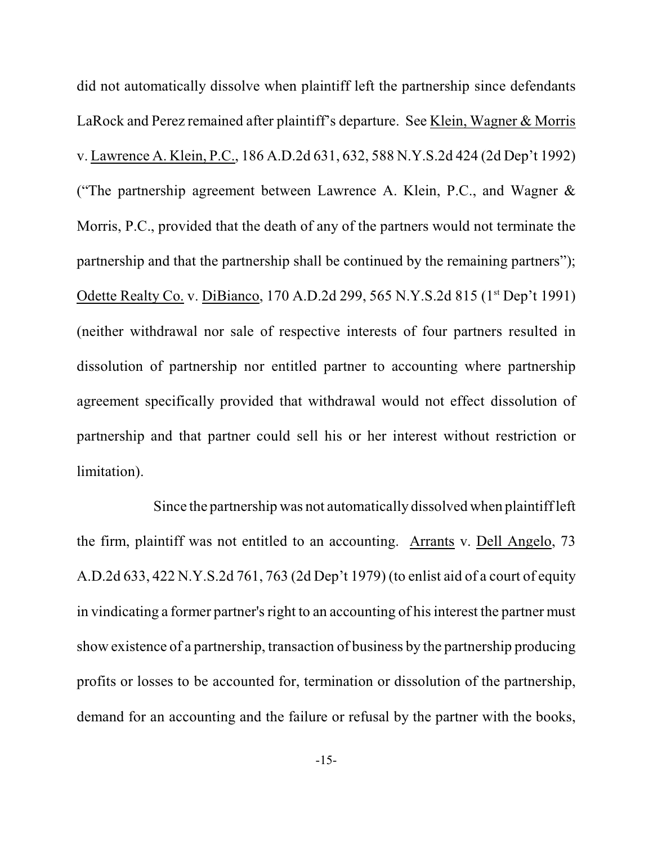did not automatically dissolve when plaintiff left the partnership since defendants LaRock and Perez remained after plaintiff's departure. See Klein, Wagner & Morris v. Lawrence A. Klein, P.C., 186 A.D.2d 631, 632, 588 N.Y.S.2d 424 (2d Dep't 1992) ("The partnership agreement between Lawrence A. Klein, P.C., and Wagner & Morris, P.C., provided that the death of any of the partners would not terminate the partnership and that the partnership shall be continued by the remaining partners"); Odette Realty Co. v. DiBianco, 170 A.D.2d 299, 565 N.Y.S.2d 815 (1<sup>st</sup> Dep't 1991) (neither withdrawal nor sale of respective interests of four partners resulted in dissolution of partnership nor entitled partner to accounting where partnership agreement specifically provided that withdrawal would not effect dissolution of partnership and that partner could sell his or her interest without restriction or limitation).

Since the partnership was not automatically dissolved when plaintiff left the firm, plaintiff was not entitled to an accounting. Arrants v. Dell Angelo, 73 A.D.2d 633, 422 N.Y.S.2d 761, 763 (2d Dep't 1979) (to enlist aid of a court of equity in vindicating a former partner's right to an accounting of his interest the partner must show existence of a partnership, transaction of business by the partnership producing profits or losses to be accounted for, termination or dissolution of the partnership, demand for an accounting and the failure or refusal by the partner with the books,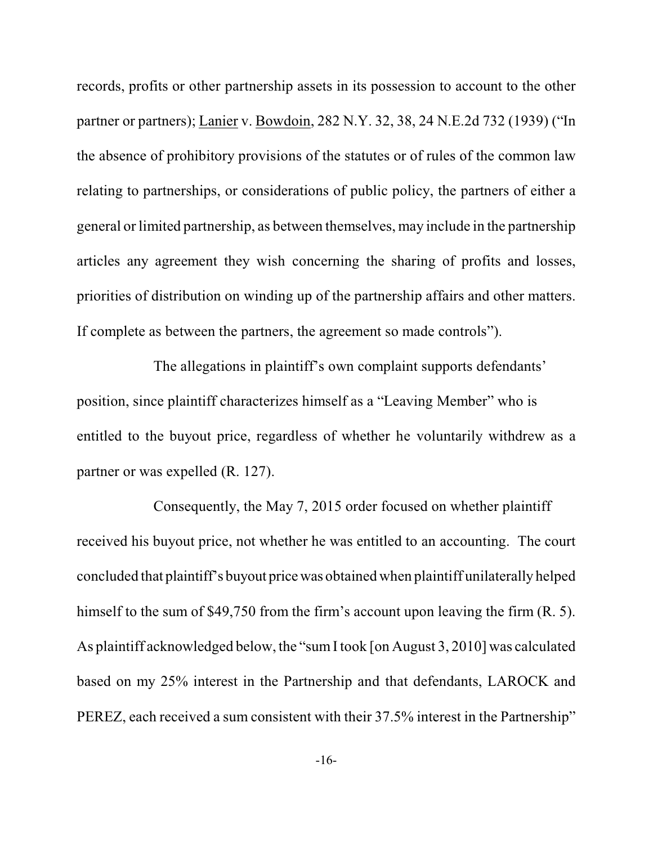records, profits or other partnership assets in its possession to account to the other partner or partners); Lanier v. Bowdoin, 282 N.Y. 32, 38, 24 N.E.2d 732 (1939) ("In the absence of prohibitory provisions of the statutes or of rules of the common law relating to partnerships, or considerations of public policy, the partners of either a general or limited partnership, as between themselves, may include in the partnership articles any agreement they wish concerning the sharing of profits and losses, priorities of distribution on winding up of the partnership affairs and other matters. If complete as between the partners, the agreement so made controls").

The allegations in plaintiff's own complaint supports defendants' position, since plaintiff characterizes himself as a "Leaving Member" who is entitled to the buyout price, regardless of whether he voluntarily withdrew as a partner or was expelled (R. 127).

Consequently, the May 7, 2015 order focused on whether plaintiff received his buyout price, not whether he was entitled to an accounting. The court concluded that plaintiff's buyout price was obtained when plaintiff unilaterally helped himself to the sum of \$49,750 from the firm's account upon leaving the firm (R. 5). As plaintiff acknowledged below, the "sum I took [on August 3, 2010] was calculated based on my 25% interest in the Partnership and that defendants, LAROCK and PEREZ, each received a sum consistent with their 37.5% interest in the Partnership"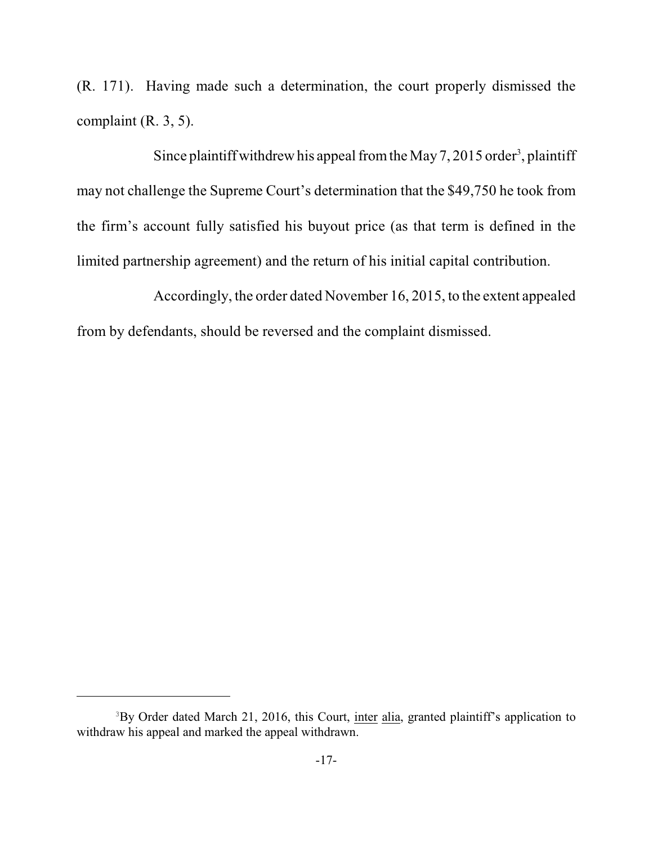(R. 171). Having made such a determination, the court properly dismissed the complaint (R. 3, 5).

Since plaintiff withdrew his appeal from the May 7, 2015 order<sup>3</sup>, plaintiff may not challenge the Supreme Court's determination that the \$49,750 he took from the firm's account fully satisfied his buyout price (as that term is defined in the limited partnership agreement) and the return of his initial capital contribution.

Accordingly, the order dated November 16, 2015, to the extent appealed from by defendants, should be reversed and the complaint dismissed.

<sup>&</sup>lt;sup>3</sup>By Order dated March 21, 2016, this Court, inter alia, granted plaintiff's application to withdraw his appeal and marked the appeal withdrawn.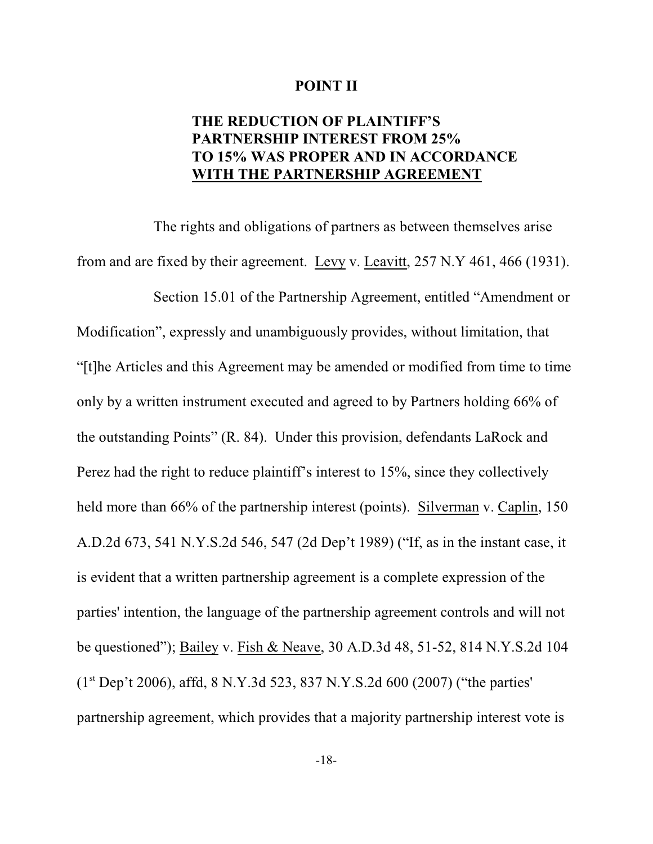#### **POINT II**

## **THE REDUCTION OF PLAINTIFF'S PARTNERSHIP INTEREST FROM 25% TO 15% WAS PROPER AND IN ACCORDANCE WITH THE PARTNERSHIP AGREEMENT**

The rights and obligations of partners as between themselves arise from and are fixed by their agreement. Levy v. Leavitt, 257 N.Y 461, 466 (1931).

Section 15.01 of the Partnership Agreement, entitled "Amendment or Modification", expressly and unambiguously provides, without limitation, that "[t]he Articles and this Agreement may be amended or modified from time to time only by a written instrument executed and agreed to by Partners holding 66% of the outstanding Points" (R. 84). Under this provision, defendants LaRock and Perez had the right to reduce plaintiff's interest to 15%, since they collectively held more than 66% of the partnership interest (points). Silverman v. Caplin, 150 A.D.2d 673, 541 N.Y.S.2d 546, 547 (2d Dep't 1989) ("If, as in the instant case, it is evident that a written partnership agreement is a complete expression of the parties' intention, the language of the partnership agreement controls and will not be questioned"); Bailey v. Fish & Neave, 30 A.D.3d 48, 51-52, 814 N.Y.S.2d 104  $(1<sup>st</sup> Dep't 2006)$ , affd, 8 N.Y.3d 523, 837 N.Y.S.2d 600 (2007) ("the parties" partnership agreement, which provides that a majority partnership interest vote is

-18-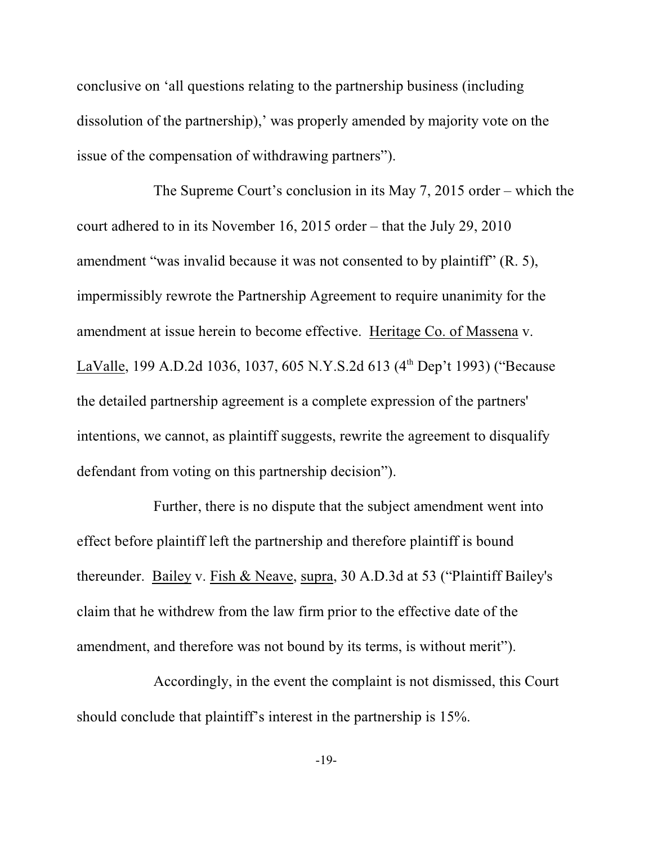conclusive on 'all questions relating to the partnership business (including dissolution of the partnership),' was properly amended by majority vote on the issue of the compensation of withdrawing partners").

The Supreme Court's conclusion in its May 7, 2015 order – which the court adhered to in its November 16, 2015 order – that the July 29, 2010 amendment "was invalid because it was not consented to by plaintiff" (R. 5), impermissibly rewrote the Partnership Agreement to require unanimity for the amendment at issue herein to become effective. Heritage Co. of Massena v. LaValle, 199 A.D.2d 1036, 1037, 605 N.Y.S.2d 613 (4<sup>th</sup> Dep't 1993) ("Because the detailed partnership agreement is a complete expression of the partners' intentions, we cannot, as plaintiff suggests, rewrite the agreement to disqualify defendant from voting on this partnership decision").

Further, there is no dispute that the subject amendment went into effect before plaintiff left the partnership and therefore plaintiff is bound thereunder. Bailey v. Fish & Neave, supra, 30 A.D.3d at 53 ("Plaintiff Bailey's claim that he withdrew from the law firm prior to the effective date of the amendment, and therefore was not bound by its terms, is without merit").

Accordingly, in the event the complaint is not dismissed, this Court should conclude that plaintiff's interest in the partnership is 15%.

-19-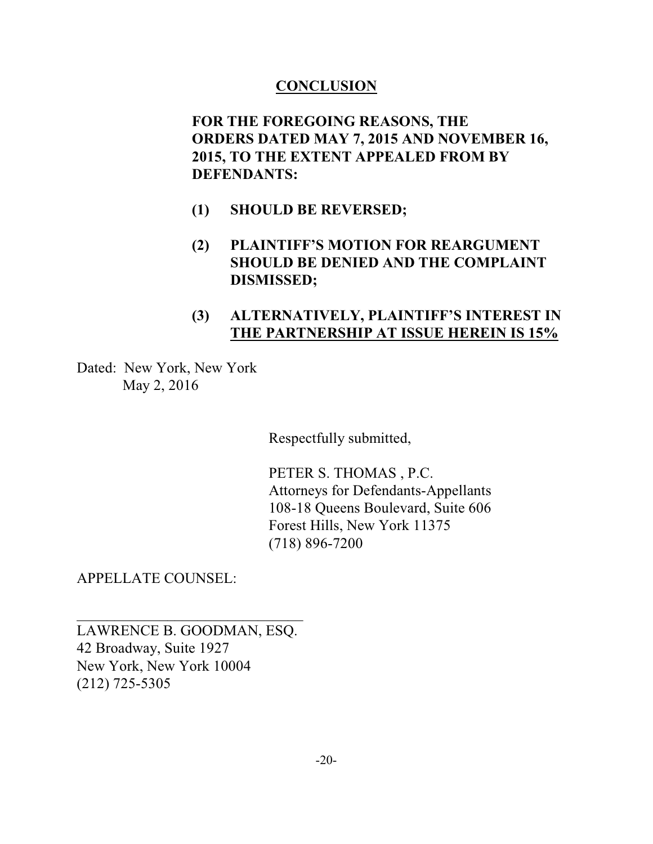## **CONCLUSION**

**FOR THE FOREGOING REASONS, THE ORDERS DATED MAY 7, 2015 AND NOVEMBER 16, 2015, TO THE EXTENT APPEALED FROM BY DEFENDANTS:**

- **(1) SHOULD BE REVERSED;**
- **(2) PLAINTIFF'S MOTION FOR REARGUMENT SHOULD BE DENIED AND THE COMPLAINT DISMISSED;**
- **(3) ALTERNATIVELY, PLAINTIFF'S INTEREST IN THE PARTNERSHIP AT ISSUE HEREIN IS 15%**

Dated: New York, New York May 2, 2016

Respectfully submitted,

PETER S. THOMAS , P.C. Attorneys for Defendants-Appellants 108-18 Queens Boulevard, Suite 606 Forest Hills, New York 11375 (718) 896-7200

APPELLATE COUNSEL:

LAWRENCE B. GOODMAN, ESQ. 42 Broadway, Suite 1927 New York, New York 10004 (212) 725-5305

 $\mathcal{L}_\text{max}$  , where  $\mathcal{L}_\text{max}$  , we have the set of the set of the set of the set of the set of the set of the set of the set of the set of the set of the set of the set of the set of the set of the set of the set of